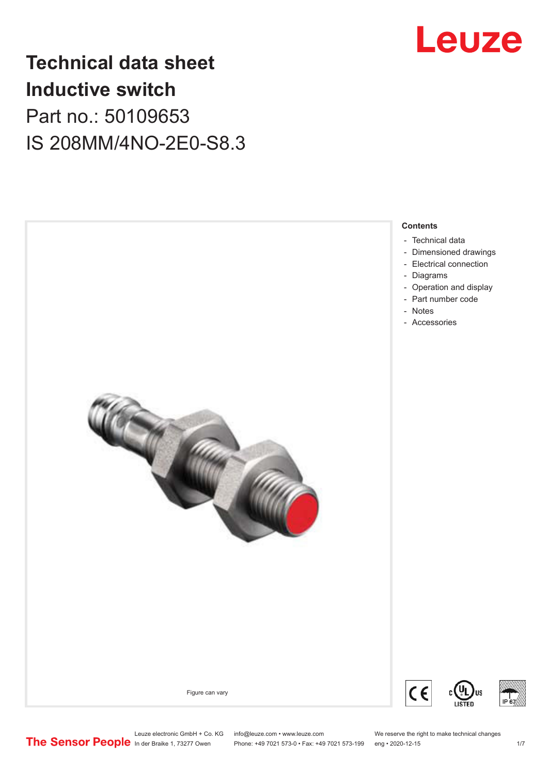

# **Technical data sheet Inductive switch** Part no.: 50109653 IS 208MM/4NO-2E0-S8.3

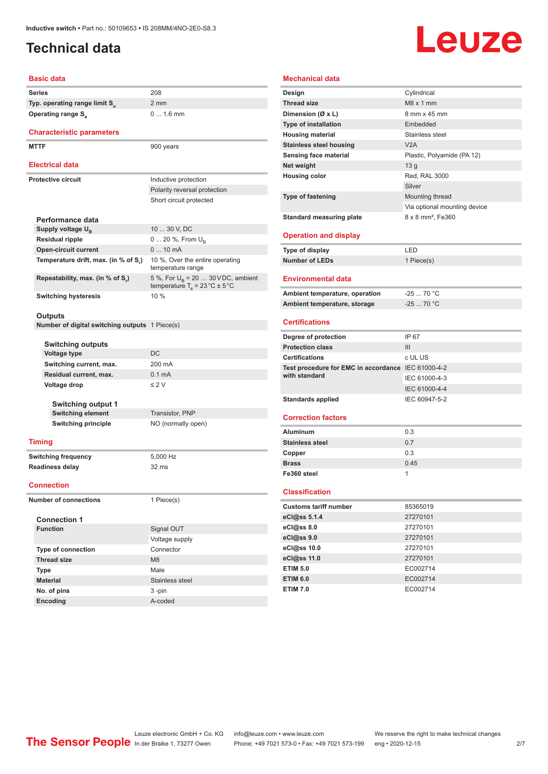# <span id="page-1-0"></span>**Technical data**

# Leuze

#### **Basic data**

| <b>Series</b>                             | 208            |
|-------------------------------------------|----------------|
| Typ. operating range limit S <sub>n</sub> | 2 <sub>m</sub> |
| Operating range S <sub>3</sub>            | $\Omega$       |
| <b>Characteristic parameters</b>          |                |

### **MTTF** 900 years

#### **Electrical data**

|                                                                          | ------------                |                                                                                                |  |  |
|--------------------------------------------------------------------------|-----------------------------|------------------------------------------------------------------------------------------------|--|--|
| <b>Protective circuit</b>                                                |                             | Inductive protection                                                                           |  |  |
|                                                                          |                             | Polarity reversal protection                                                                   |  |  |
|                                                                          |                             | Short circuit protected                                                                        |  |  |
|                                                                          |                             |                                                                                                |  |  |
|                                                                          | Performance data            |                                                                                                |  |  |
| Supply voltage U <sub>n</sub>                                            |                             | 10  30 V, DC                                                                                   |  |  |
|                                                                          | <b>Residual ripple</b>      | $0 20 \%$ , From $U_{\rm B}$                                                                   |  |  |
|                                                                          | <b>Open-circuit current</b> | $010$ mA                                                                                       |  |  |
| Temperature drift, max. (in % of S.)<br>Repeatability, max. (in % of S.) |                             | 10 %, Over the entire operating<br>temperature range                                           |  |  |
|                                                                          |                             | 5 %, For $U_{\rm B}$ = 20  30 VDC, ambient<br>temperature $T_a = 23 \degree C \pm 5 \degree C$ |  |  |
|                                                                          | <b>Switching hysteresis</b> | 10%                                                                                            |  |  |

2 mm

0 ... 1.6 mm

### **Outputs**

**Number of digital switching outputs** 1 Piece(s)

| <b>Switching outputs</b>  |                    |
|---------------------------|--------------------|
| <b>Voltage type</b>       | DC                 |
| Switching current, max.   | 200 mA             |
| Residual current, max.    | $0.1 \text{ mA}$   |
| Voltage drop              | $\leq$ 2 V         |
| <b>Switching output 1</b> |                    |
| <b>Switching element</b>  | Transistor, PNP    |
| Switching principle       | NO (normally open) |
|                           |                    |

### **Timing**

**Switching frequency** 5,000 Hz **Readiness delay** 32 ms

#### **Connection**

**Number of connections** 1 Piece(s)

| <b>Connection 1</b>       |                 |  |  |  |
|---------------------------|-----------------|--|--|--|
| <b>Function</b>           | Signal OUT      |  |  |  |
|                           | Voltage supply  |  |  |  |
| <b>Type of connection</b> | Connector       |  |  |  |
| <b>Thread size</b>        | M8              |  |  |  |
| <b>Type</b>               | Male            |  |  |  |
| <b>Material</b>           | Stainless steel |  |  |  |
| No. of pins               | $3 - pin$       |  |  |  |
| <b>Encoding</b>           | A-coded         |  |  |  |

| <b>Mechanical data</b>                                  |                                  |
|---------------------------------------------------------|----------------------------------|
|                                                         |                                  |
| Design<br><b>Thread size</b>                            | Cylindrical<br>$M8 \times 1$ mm  |
|                                                         | 8 mm x 45 mm                     |
| Dimension (Ø x L)                                       | Embedded                         |
| <b>Type of installation</b>                             | Stainless steel                  |
| <b>Housing material</b>                                 | V2A                              |
| <b>Stainless steel housing</b><br>Sensing face material |                                  |
|                                                         | Plastic, Polyamide (PA 12)       |
| Net weight                                              | 13 <sub>g</sub><br>Red, RAL 3000 |
| <b>Housing color</b>                                    | Silver                           |
| <b>Type of fastening</b>                                |                                  |
|                                                         | Mounting thread                  |
|                                                         | Via optional mounting device     |
| <b>Standard measuring plate</b>                         | 8 x 8 mm <sup>2</sup> , Fe360    |
| <b>Operation and display</b>                            |                                  |
| <b>Type of display</b>                                  | LED                              |
| <b>Number of LEDs</b>                                   | 1 Piece(s)                       |
|                                                         |                                  |
| <b>Environmental data</b>                               |                                  |
| Ambient temperature, operation                          | $-2570 °C$                       |
| Ambient temperature, storage                            | $-25$ 70 °C                      |
| <b>Certifications</b>                                   |                                  |
| Degree of protection                                    | IP 67                            |
| <b>Protection class</b>                                 | Ш                                |
| <b>Certifications</b>                                   | c UL US                          |
| Test procedure for EMC in accordance IEC 61000-4-2      |                                  |
|                                                         |                                  |
| with standard                                           | IEC 61000-4-3                    |
|                                                         | IEC 61000-4-4                    |
| <b>Standards applied</b>                                | IEC 60947-5-2                    |
|                                                         |                                  |
| <b>Correction factors</b>                               |                                  |
| <b>Aluminum</b>                                         | 0.3                              |
| <b>Stainless steel</b>                                  | 0.7                              |
| Copper                                                  | 0.3                              |
| <b>Brass</b>                                            | 0.45                             |
| Fe360 steel                                             | 1                                |
|                                                         |                                  |
| <b>Classification</b>                                   |                                  |
| <b>Customs tariff number</b>                            | 85365019                         |
| eCl@ss 5.1.4                                            | 27270101                         |
| eCl@ss 8.0                                              | 27270101                         |
| eCl@ss 9.0                                              | 27270101                         |
| eCl@ss 10.0                                             | 27270101                         |
| eCl@ss 11.0                                             | 27270101                         |
| <b>ETIM 5.0</b>                                         | EC002714<br>EC002714             |

**ETIM 7.0** EC002714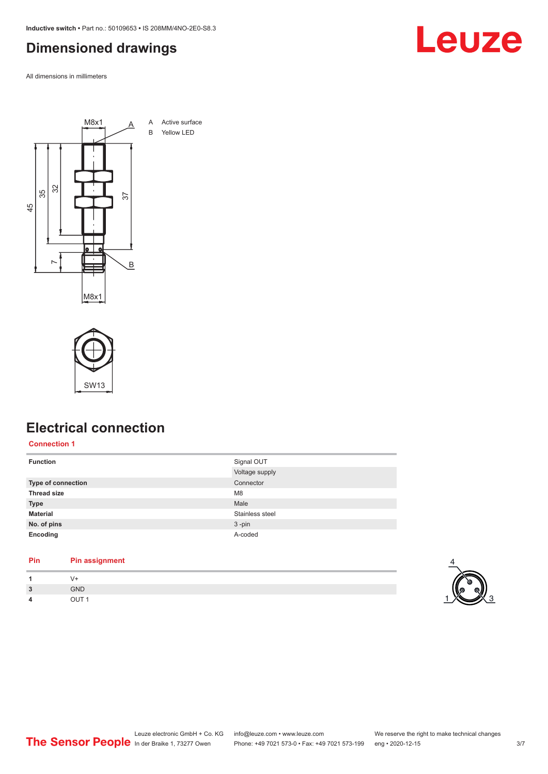<span id="page-2-0"></span>**Inductive switch •** Part no.: 50109653 **•** IS 208MM/4NO-2E0-S8.3

# **Dimensioned drawings**

All dimensions in millimeters





# **Electrical connection**

**Connection 1**

| <b>Function</b>           | Signal OUT      |
|---------------------------|-----------------|
|                           | Voltage supply  |
| <b>Type of connection</b> | Connector       |
| <b>Thread size</b>        | M <sub>8</sub>  |
| <b>Type</b>               | Male            |
| <b>Material</b>           | Stainless steel |
| No. of pins               | $3 - pin$       |
| Encoding                  | A-coded         |

### **Pin Pin assignment**

|                                                     |            | $\sim$ |
|-----------------------------------------------------|------------|--------|
| $\overline{\mathbf{z}}$<br>$\overline{\phantom{a}}$ | <b>GND</b> |        |
| 4                                                   | ___        |        |



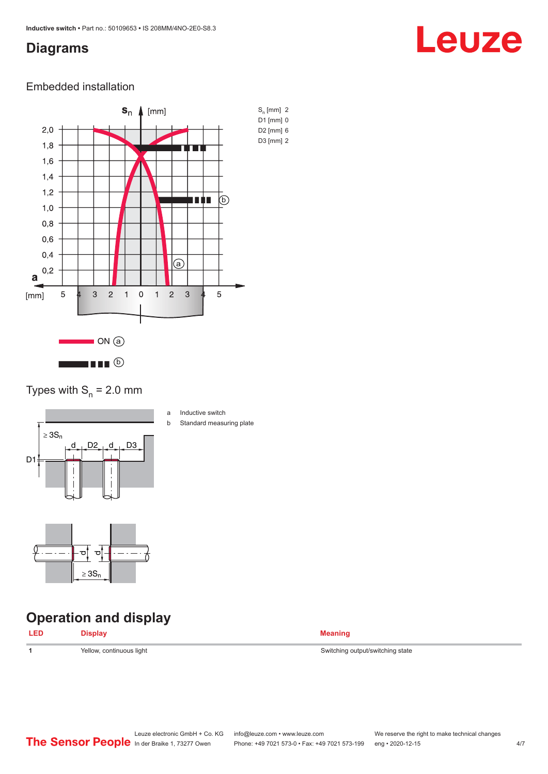# <span id="page-3-0"></span>**Diagrams**

# Leuze

### Embedded installation



### Types with  $S_n = 2.0$  mm



- a Inductive switch
- b Standard measuring plate



# **Operation and display**

| <b>LED</b> |                          |                                  |
|------------|--------------------------|----------------------------------|
|            | Yellow, continuous light | Switching output/switching state |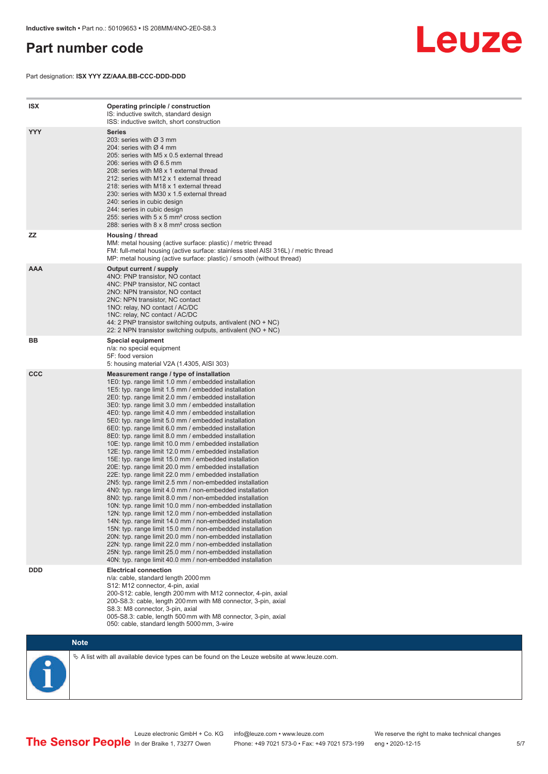# <span id="page-4-0"></span>**Part number code**

Part designation: **ISX YYY ZZ/AAA.BB-CCC-DDD-DDD**



| <b>ISX</b> | Operating principle / construction<br>IS: inductive switch, standard design<br>ISS: inductive switch, short construction                                                                                                                                                                                                                                                                                                                                                                                                                                                                                                                                                                                                                                                                                                                                                                                                                                                                                                                                                                                                                                                                                                                                                                                                                                                                                                                                                                          |
|------------|---------------------------------------------------------------------------------------------------------------------------------------------------------------------------------------------------------------------------------------------------------------------------------------------------------------------------------------------------------------------------------------------------------------------------------------------------------------------------------------------------------------------------------------------------------------------------------------------------------------------------------------------------------------------------------------------------------------------------------------------------------------------------------------------------------------------------------------------------------------------------------------------------------------------------------------------------------------------------------------------------------------------------------------------------------------------------------------------------------------------------------------------------------------------------------------------------------------------------------------------------------------------------------------------------------------------------------------------------------------------------------------------------------------------------------------------------------------------------------------------------|
| <b>YYY</b> | <b>Series</b><br>203: series with Ø 3 mm<br>204: series with $\varnothing$ 4 mm<br>205: series with M5 x 0.5 external thread<br>206: series with $\varnothing$ 6.5 mm<br>208: series with M8 x 1 external thread<br>212: series with M12 x 1 external thread<br>218: series with M18 x 1 external thread<br>230: series with M30 x 1.5 external thread<br>240: series in cubic design<br>244: series in cubic design<br>255: series with 5 x 5 mm <sup>2</sup> cross section<br>288: series with 8 x 8 mm <sup>2</sup> cross section                                                                                                                                                                                                                                                                                                                                                                                                                                                                                                                                                                                                                                                                                                                                                                                                                                                                                                                                                              |
| <b>ZZ</b>  | Housing / thread<br>MM: metal housing (active surface: plastic) / metric thread<br>FM: full-metal housing (active surface: stainless steel AISI 316L) / metric thread<br>MP: metal housing (active surface: plastic) / smooth (without thread)                                                                                                                                                                                                                                                                                                                                                                                                                                                                                                                                                                                                                                                                                                                                                                                                                                                                                                                                                                                                                                                                                                                                                                                                                                                    |
| <b>AAA</b> | Output current / supply<br>4NO: PNP transistor, NO contact<br>4NC: PNP transistor, NC contact<br>2NO: NPN transistor, NO contact<br>2NC: NPN transistor, NC contact<br>1NO: relay, NO contact / AC/DC<br>1NC: relay, NC contact / AC/DC<br>44: 2 PNP transistor switching outputs, antivalent (NO + NC)<br>22: 2 NPN transistor switching outputs, antivalent (NO + NC)                                                                                                                                                                                                                                                                                                                                                                                                                                                                                                                                                                                                                                                                                                                                                                                                                                                                                                                                                                                                                                                                                                                           |
| BB         | Special equipment<br>n/a: no special equipment<br>5F: food version<br>5: housing material V2A (1.4305, AISI 303)                                                                                                                                                                                                                                                                                                                                                                                                                                                                                                                                                                                                                                                                                                                                                                                                                                                                                                                                                                                                                                                                                                                                                                                                                                                                                                                                                                                  |
| <b>CCC</b> | Measurement range / type of installation<br>1E0: typ. range limit 1.0 mm / embedded installation<br>1E5: typ. range limit 1.5 mm / embedded installation<br>2E0: typ. range limit 2.0 mm / embedded installation<br>3E0: typ. range limit 3.0 mm / embedded installation<br>4E0: typ. range limit 4.0 mm / embedded installation<br>5E0: typ. range limit 5.0 mm / embedded installation<br>6E0: typ. range limit 6.0 mm / embedded installation<br>8E0: typ. range limit 8.0 mm / embedded installation<br>10E: typ. range limit 10.0 mm / embedded installation<br>12E: typ. range limit 12.0 mm / embedded installation<br>15E: typ. range limit 15.0 mm / embedded installation<br>20E: typ. range limit 20.0 mm / embedded installation<br>22E: typ. range limit 22.0 mm / embedded installation<br>2N5: typ. range limit 2.5 mm / non-embedded installation<br>4N0: typ. range limit 4.0 mm / non-embedded installation<br>8NO: typ. range limit 8.0 mm / non-embedded installation<br>10N: typ. range limit 10.0 mm / non-embedded installation<br>12N: typ. range limit 12.0 mm / non-embedded installation<br>14N: typ. range limit 14.0 mm / non-embedded installation<br>15N: typ. range limit 15.0 mm / non-embedded installation<br>20N: typ. range limit 20.0 mm / non-embedded installation<br>22N: typ. range limit 22.0 mm / non-embedded installation<br>25N: typ. range limit 25.0 mm / non-embedded installation<br>40N: typ. range limit 40.0 mm / non-embedded installation |
| <b>DDD</b> | <b>Electrical connection</b><br>n/a: cable, standard length 2000 mm<br>S12: M12 connector, 4-pin, axial<br>200-S12: cable, length 200 mm with M12 connector, 4-pin, axial<br>200-S8.3: cable, length 200 mm with M8 connector, 3-pin, axial<br>S8.3: M8 connector, 3-pin, axial<br>005-S8.3: cable, length 500 mm with M8 connector, 3-pin, axial<br>050: cable, standard length 5000 mm, 3-wire                                                                                                                                                                                                                                                                                                                                                                                                                                                                                                                                                                                                                                                                                                                                                                                                                                                                                                                                                                                                                                                                                                  |



 $\%$  A list with all available device types can be found on the Leuze website at www.leuze.com.

In der Braike 1, 73277 Owen Phone: +49 7021 573-0 • Fax: +49 7021 573-199 eng • 2020-12-15

Leuze electronic GmbH + Co. KG info@leuze.com • www.leuze.com We reserve the right to make technical changes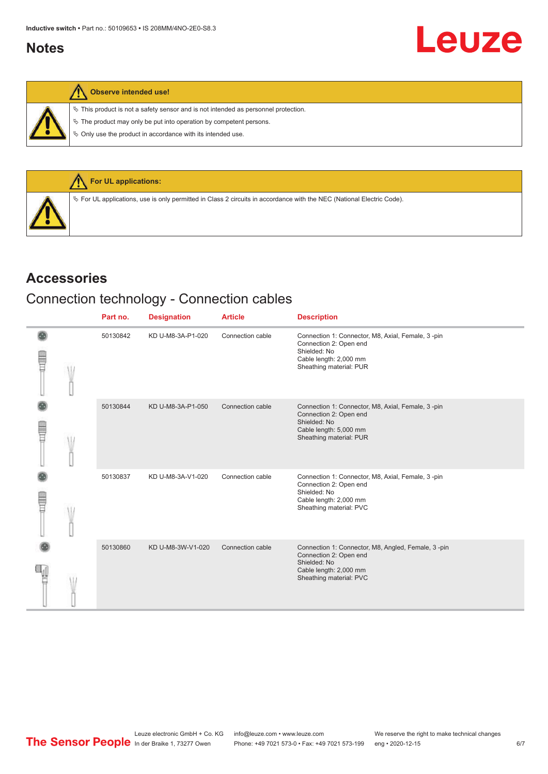# <span id="page-5-0"></span>**Notes**

| ١ |  | Observe intended use! |  |
|---|--|-----------------------|--|
|---|--|-----------------------|--|

 $\%$  This product is not a safety sensor and is not intended as personnel protection.

 $\&$  The product may only be put into operation by competent persons.

 $\%$  Only use the product in accordance with its intended use.



## **Accessories**

# Connection technology - Connection cables

|             | Part no. | <b>Designation</b> | <b>Article</b>   | <b>Description</b>                                                                                                                                |
|-------------|----------|--------------------|------------------|---------------------------------------------------------------------------------------------------------------------------------------------------|
| ŧ           | 50130842 | KD U-M8-3A-P1-020  | Connection cable | Connection 1: Connector, M8, Axial, Female, 3-pin<br>Connection 2: Open end<br>Shielded: No<br>Cable length: 2,000 mm<br>Sheathing material: PUR  |
| <b>TILL</b> | 50130844 | KD U-M8-3A-P1-050  | Connection cable | Connection 1: Connector, M8, Axial, Female, 3-pin<br>Connection 2: Open end<br>Shielded: No<br>Cable length: 5,000 mm<br>Sheathing material: PUR  |
| E           | 50130837 | KD U-M8-3A-V1-020  | Connection cable | Connection 1: Connector, M8, Axial, Female, 3-pin<br>Connection 2: Open end<br>Shielded: No<br>Cable length: 2,000 mm<br>Sheathing material: PVC  |
|             | 50130860 | KD U-M8-3W-V1-020  | Connection cable | Connection 1: Connector, M8, Angled, Female, 3-pin<br>Connection 2: Open end<br>Shielded: No<br>Cable length: 2,000 mm<br>Sheathing material: PVC |

Leuze